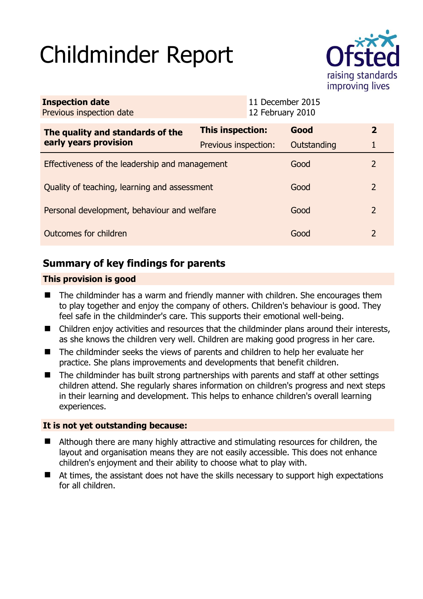# Childminder Report



| <b>Inspection date</b><br>Previous inspection date        |                         | 11 December 2015<br>12 February 2010 |             |                |
|-----------------------------------------------------------|-------------------------|--------------------------------------|-------------|----------------|
| The quality and standards of the<br>early years provision | <b>This inspection:</b> |                                      | Good        | $\overline{2}$ |
|                                                           | Previous inspection:    |                                      | Outstanding |                |
| Effectiveness of the leadership and management            |                         |                                      | Good        | 2              |
| Quality of teaching, learning and assessment              |                         |                                      | Good        | 2              |
| Personal development, behaviour and welfare               |                         |                                      | Good        | 2              |
| Outcomes for children                                     |                         |                                      | Good        | 2              |

# **Summary of key findings for parents**

## **This provision is good**

- The childminder has a warm and friendly manner with children. She encourages them to play together and enjoy the company of others. Children's behaviour is good. They feel safe in the childminder's care. This supports their emotional well-being.
- Children enjoy activities and resources that the childminder plans around their interests, as she knows the children very well. Children are making good progress in her care.
- The childminder seeks the views of parents and children to help her evaluate her practice. She plans improvements and developments that benefit children.
- The childminder has built strong partnerships with parents and staff at other settings children attend. She regularly shares information on children's progress and next steps in their learning and development. This helps to enhance children's overall learning experiences.

## **It is not yet outstanding because:**

- Although there are many highly attractive and stimulating resources for children, the layout and organisation means they are not easily accessible. This does not enhance children's enjoyment and their ability to choose what to play with.
- At times, the assistant does not have the skills necessary to support high expectations for all children.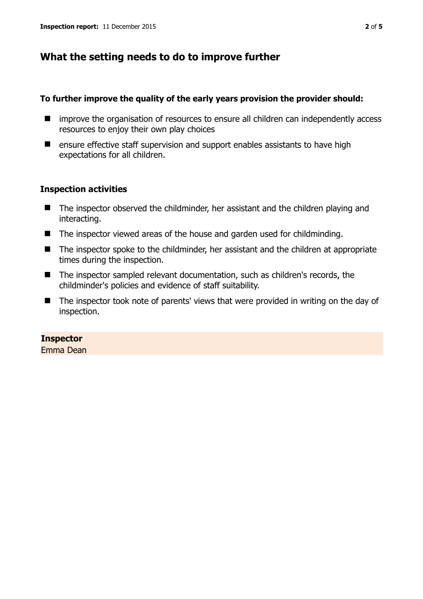# **What the setting needs to do to improve further**

#### **To further improve the quality of the early years provision the provider should:**

- $\blacksquare$  improve the organisation of resources to ensure all children can independently access resources to enjoy their own play choices
- $\blacksquare$  ensure effective staff supervision and support enables assistants to have high expectations for all children.

#### **Inspection activities**

- The inspector observed the childminder, her assistant and the children playing and interacting.
- The inspector viewed areas of the house and garden used for childminding.
- The inspector spoke to the childminder, her assistant and the children at appropriate times during the inspection.
- The inspector sampled relevant documentation, such as children's records, the childminder's policies and evidence of staff suitability.
- The inspector took note of parents' views that were provided in writing on the day of inspection.

## **Inspector**

Emma Dean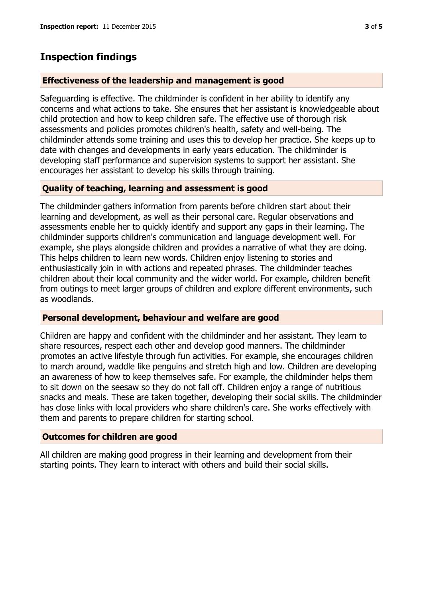# **Inspection findings**

### **Effectiveness of the leadership and management is good**

Safeguarding is effective. The childminder is confident in her ability to identify any concerns and what actions to take. She ensures that her assistant is knowledgeable about child protection and how to keep children safe. The effective use of thorough risk assessments and policies promotes children's health, safety and well-being. The childminder attends some training and uses this to develop her practice. She keeps up to date with changes and developments in early years education. The childminder is developing staff performance and supervision systems to support her assistant. She encourages her assistant to develop his skills through training.

## **Quality of teaching, learning and assessment is good**

The childminder gathers information from parents before children start about their learning and development, as well as their personal care. Regular observations and assessments enable her to quickly identify and support any gaps in their learning. The childminder supports children's communication and language development well. For example, she plays alongside children and provides a narrative of what they are doing. This helps children to learn new words. Children enjoy listening to stories and enthusiastically join in with actions and repeated phrases. The childminder teaches children about their local community and the wider world. For example, children benefit from outings to meet larger groups of children and explore different environments, such as woodlands.

#### **Personal development, behaviour and welfare are good**

Children are happy and confident with the childminder and her assistant. They learn to share resources, respect each other and develop good manners. The childminder promotes an active lifestyle through fun activities. For example, she encourages children to march around, waddle like penguins and stretch high and low. Children are developing an awareness of how to keep themselves safe. For example, the childminder helps them to sit down on the seesaw so they do not fall off. Children enjoy a range of nutritious snacks and meals. These are taken together, developing their social skills. The childminder has close links with local providers who share children's care. She works effectively with them and parents to prepare children for starting school.

#### **Outcomes for children are good**

All children are making good progress in their learning and development from their starting points. They learn to interact with others and build their social skills.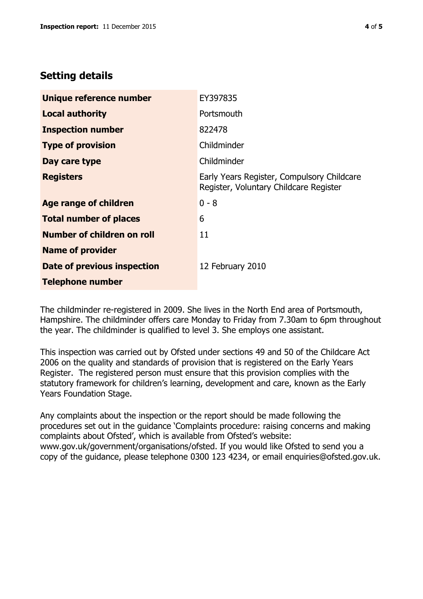# **Setting details**

| Unique reference number       | EY397835                                                                             |  |
|-------------------------------|--------------------------------------------------------------------------------------|--|
| <b>Local authority</b>        | Portsmouth                                                                           |  |
| <b>Inspection number</b>      | 822478                                                                               |  |
| <b>Type of provision</b>      | Childminder                                                                          |  |
| Day care type                 | Childminder                                                                          |  |
| <b>Registers</b>              | Early Years Register, Compulsory Childcare<br>Register, Voluntary Childcare Register |  |
| Age range of children         | $0 - 8$                                                                              |  |
| <b>Total number of places</b> | 6                                                                                    |  |
| Number of children on roll    | 11                                                                                   |  |
| <b>Name of provider</b>       |                                                                                      |  |
| Date of previous inspection   | 12 February 2010                                                                     |  |
| <b>Telephone number</b>       |                                                                                      |  |

The childminder re-registered in 2009. She lives in the North End area of Portsmouth, Hampshire. The childminder offers care Monday to Friday from 7.30am to 6pm throughout the year. The childminder is qualified to level 3. She employs one assistant.

This inspection was carried out by Ofsted under sections 49 and 50 of the Childcare Act 2006 on the quality and standards of provision that is registered on the Early Years Register. The registered person must ensure that this provision complies with the statutory framework for children's learning, development and care, known as the Early Years Foundation Stage.

Any complaints about the inspection or the report should be made following the procedures set out in the guidance 'Complaints procedure: raising concerns and making complaints about Ofsted', which is available from Ofsted's website: www.gov.uk/government/organisations/ofsted. If you would like Ofsted to send you a copy of the guidance, please telephone 0300 123 4234, or email enquiries@ofsted.gov.uk.